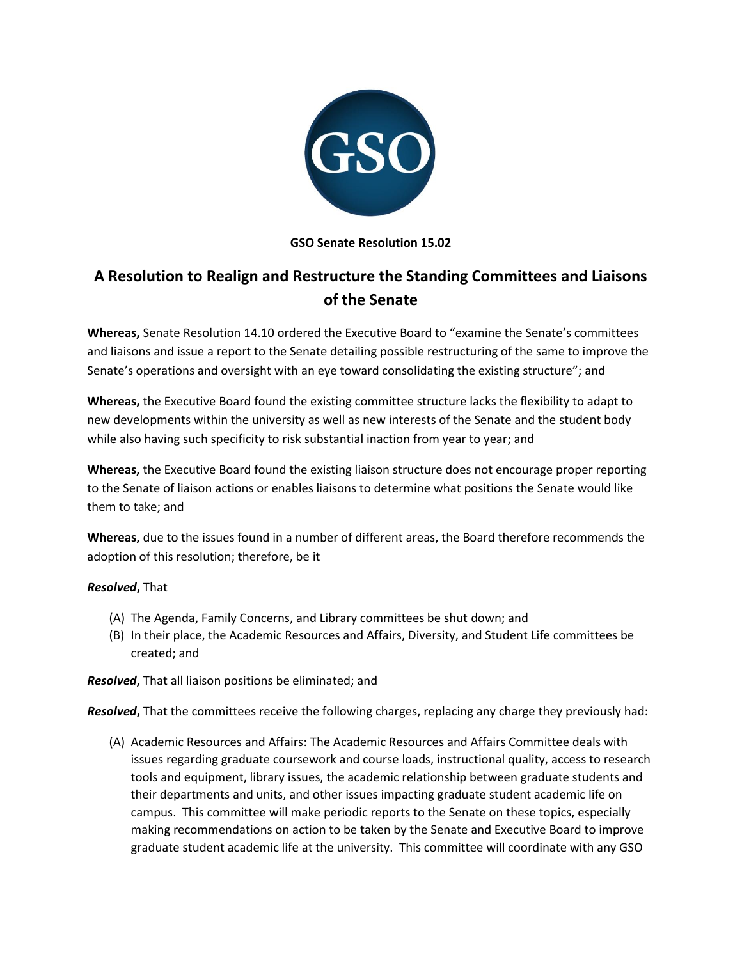

## **GSO Senate Resolution 15.02**

## **A Resolution to Realign and Restructure the Standing Committees and Liaisons of the Senate**

**Whereas,** Senate Resolution 14.10 ordered the Executive Board to "examine the Senate's committees and liaisons and issue a report to the Senate detailing possible restructuring of the same to improve the Senate's operations and oversight with an eye toward consolidating the existing structure"; and

**Whereas,** the Executive Board found the existing committee structure lacks the flexibility to adapt to new developments within the university as well as new interests of the Senate and the student body while also having such specificity to risk substantial inaction from year to year; and

**Whereas,** the Executive Board found the existing liaison structure does not encourage proper reporting to the Senate of liaison actions or enables liaisons to determine what positions the Senate would like them to take; and

**Whereas,** due to the issues found in a number of different areas, the Board therefore recommends the adoption of this resolution; therefore, be it

## *Resolved***,** That

- (A) The Agenda, Family Concerns, and Library committees be shut down; and
- (B) In their place, the Academic Resources and Affairs, Diversity, and Student Life committees be created; and

*Resolved***,** That all liaison positions be eliminated; and

*Resolved***,** That the committees receive the following charges, replacing any charge they previously had:

(A) Academic Resources and Affairs: The Academic Resources and Affairs Committee deals with issues regarding graduate coursework and course loads, instructional quality, access to research tools and equipment, library issues, the academic relationship between graduate students and their departments and units, and other issues impacting graduate student academic life on campus. This committee will make periodic reports to the Senate on these topics, especially making recommendations on action to be taken by the Senate and Executive Board to improve graduate student academic life at the university. This committee will coordinate with any GSO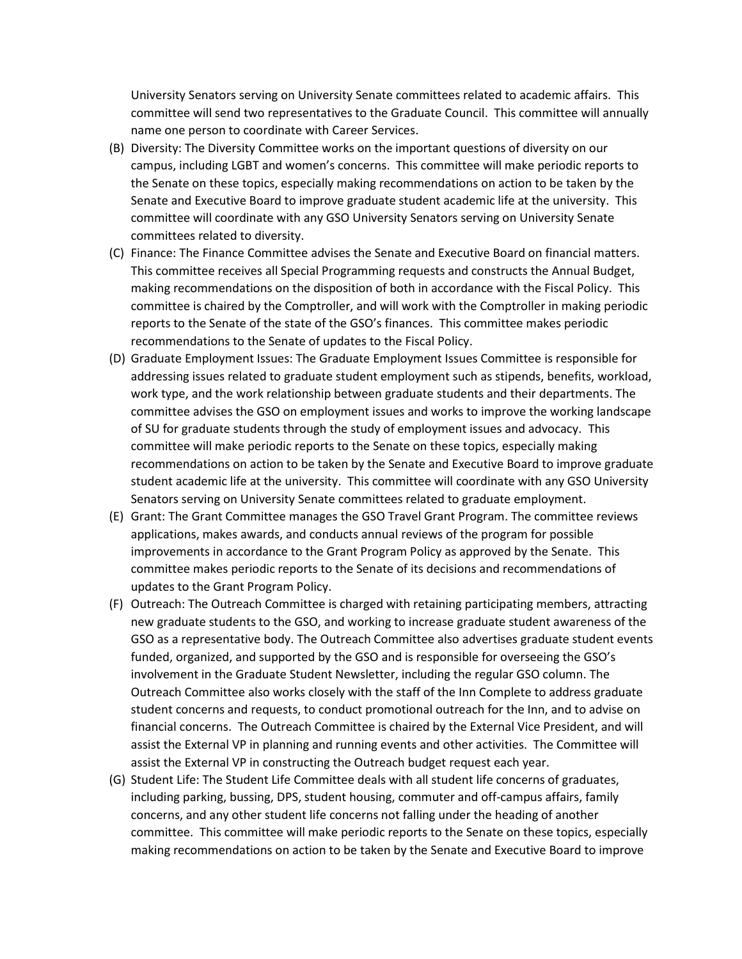University Senators serving on University Senate committees related to academic affairs. This committee will send two representatives to the Graduate Council. This committee will annually name one person to coordinate with Career Services.

- (B) Diversity: The Diversity Committee works on the important questions of diversity on our campus, including LGBT and women's concerns. This committee will make periodic reports to the Senate on these topics, especially making recommendations on action to be taken by the Senate and Executive Board to improve graduate student academic life at the university. This committee will coordinate with any GSO University Senators serving on University Senate committees related to diversity.
- (C) Finance: The Finance Committee advises the Senate and Executive Board on financial matters. This committee receives all Special Programming requests and constructs the Annual Budget, making recommendations on the disposition of both in accordance with the Fiscal Policy. This committee is chaired by the Comptroller, and will work with the Comptroller in making periodic reports to the Senate of the state of the GSO's finances. This committee makes periodic recommendations to the Senate of updates to the Fiscal Policy.
- (D) Graduate Employment Issues: The Graduate Employment Issues Committee is responsible for addressing issues related to graduate student employment such as stipends, benefits, workload, work type, and the work relationship between graduate students and their departments. The committee advises the GSO on employment issues and works to improve the working landscape of SU for graduate students through the study of employment issues and advocacy. This committee will make periodic reports to the Senate on these topics, especially making recommendations on action to be taken by the Senate and Executive Board to improve graduate student academic life at the university. This committee will coordinate with any GSO University Senators serving on University Senate committees related to graduate employment.
- (E) Grant: The Grant Committee manages the GSO Travel Grant Program. The committee reviews applications, makes awards, and conducts annual reviews of the program for possible improvements in accordance to the Grant Program Policy as approved by the Senate. This committee makes periodic reports to the Senate of its decisions and recommendations of updates to the Grant Program Policy.
- (F) Outreach: The Outreach Committee is charged with retaining participating members, attracting new graduate students to the GSO, and working to increase graduate student awareness of the GSO as a representative body. The Outreach Committee also advertises graduate student events funded, organized, and supported by the GSO and is responsible for overseeing the GSO's involvement in the Graduate Student Newsletter, including the regular GSO column. The Outreach Committee also works closely with the staff of the Inn Complete to address graduate student concerns and requests, to conduct promotional outreach for the Inn, and to advise on financial concerns. The Outreach Committee is chaired by the External Vice President, and will assist the External VP in planning and running events and other activities. The Committee will assist the External VP in constructing the Outreach budget request each year.
- (G) Student Life: The Student Life Committee deals with all student life concerns of graduates, including parking, bussing, DPS, student housing, commuter and off-campus affairs, family concerns, and any other student life concerns not falling under the heading of another committee. This committee will make periodic reports to the Senate on these topics, especially making recommendations on action to be taken by the Senate and Executive Board to improve